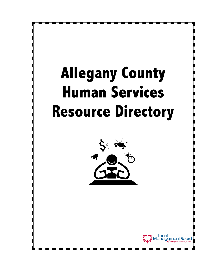# Allegany County Human Services Resource Directory



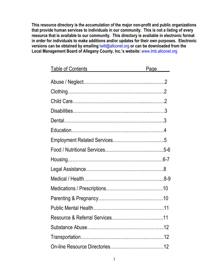This resource directory is the accumulation of the major non-profit and public organizations that provide human services to individuals in our community. This is not a listing of every resource that is available to our community. This directory is available in electronic format in order for individuals to make additions and/or updates for their own purposes. Electronic versions can be obtained by emailing lwitt@allconet.org or can be downloaded from the Local Management Board of Allegany County, Inc.'s website: www.lmb.allconet.org

| <b>Table of Contents</b>         | Page______ |
|----------------------------------|------------|
|                                  |            |
|                                  |            |
|                                  |            |
|                                  |            |
|                                  |            |
|                                  |            |
|                                  |            |
|                                  |            |
| Housing…………………………………………………………6-7 |            |
|                                  |            |
|                                  |            |
|                                  |            |
|                                  |            |
|                                  |            |
|                                  |            |
|                                  |            |
|                                  |            |
|                                  |            |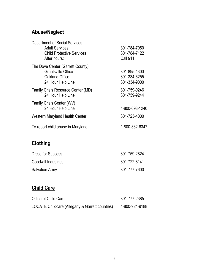#### Abuse/Neglect

| <b>Department of Social Services</b> |                 |
|--------------------------------------|-----------------|
| <b>Adult Services</b>                | 301-784-7050    |
| <b>Child Protective Services</b>     | 301-784-7122    |
| After hours:                         | <b>Call 911</b> |
| The Dove Center (Garrett County)     |                 |
| <b>Grantsville Office</b>            | 301-895-4300    |
| Oakland Office                       | 301-334-6255    |
| 24 Hour Help Line                    | 301-334-9000    |
| Family Crisis Resource Center (MD)   | 301-759-9246    |
| 24 Hour Help Line                    | 301-759-9244    |
| Family Crisis Center (WV)            |                 |
| 24 Hour Help Line                    | 1-800-698-1240  |
| Western Maryland Health Center       | 301-723-4000    |
| To report child abuse in Maryland    | 1-800-332-6347  |
|                                      |                 |

# **Clothing**

| <b>Dress for Success</b> | 301-759-2824 |
|--------------------------|--------------|
| Goodwill Industries      | 301-722-8141 |
| <b>Salvation Army</b>    | 301-777-7600 |

# Child Care

| Office of Child Care                           | 301-777-2385   |
|------------------------------------------------|----------------|
| LOCATE Childcare (Allegany & Garrett counties) | 1-800-924-9188 |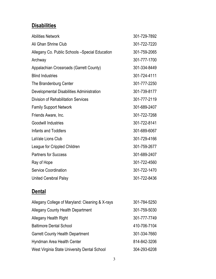# **Disabilities**

| <b>Abilities Network</b>                        | 301-729-7892 |
|-------------------------------------------------|--------------|
| Ali Ghan Shrine Club                            | 301-722-7220 |
| Allegany Co. Public Schools - Special Education | 301-759-2065 |
| Archway                                         | 301-777-1700 |
| Appalachian Crossroads (Garrett County)         | 301-334-8449 |
| <b>Blind Industries</b>                         | 301-724-4111 |
| The Brandenburg Center                          | 301-777-2250 |
| Developmental Disabilities Administration       | 301-739-8177 |
| <b>Division of Rehabilitation Services</b>      | 301-777-2119 |
| <b>Family Support Network</b>                   | 301-689-2407 |
| Friends Aware, Inc.                             | 301-722-7268 |
| <b>Goodwill Industries</b>                      | 301-722-8141 |
| Infants and Toddlers                            | 301-689-6067 |
| LaVale Lions Club                               | 301-729-4166 |
| League for Crippled Children                    | 301-759-2677 |
| <b>Partners for Success</b>                     | 301-689-2407 |
| Ray of Hope                                     | 301-722-4560 |
| <b>Service Coordination</b>                     | 301-722-1470 |
| <b>United Cerebral Palsy</b>                    | 301-722-8436 |
|                                                 |              |

## **Dental**

| Allegany College of Maryland: Cleaning & X-rays | 301-784-5250 |
|-------------------------------------------------|--------------|
| <b>Allegany County Health Department</b>        | 301-759-5030 |
| Allegany Health Right                           | 301-777-7749 |
| <b>Baltimore Dental School</b>                  | 410-706-7104 |
| <b>Garrett County Health Department</b>         | 301-334-7660 |
| Hyndman Area Health Center                      | 814-842-3206 |
| West Virginia State University Dental School    | 304-293-6208 |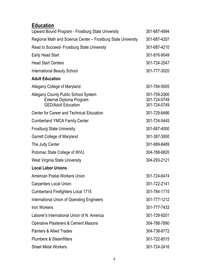## **Education**

| Upward Bound Program - Frostburg State University                                                            | 301-687-4994                                 |
|--------------------------------------------------------------------------------------------------------------|----------------------------------------------|
| Regional Math and Science Center - Frostburg State University                                                | 301-687-4207                                 |
| Read to Succeed- Frostburg State University                                                                  | 301-687-4210                                 |
| <b>Early Head Start</b>                                                                                      | 301-876-9049                                 |
| <b>Head Start Centers</b>                                                                                    | 301-724-2547                                 |
| <b>International Beauty School</b>                                                                           | 301-777-3020                                 |
| <b>Adult Education</b>                                                                                       |                                              |
| Allegany College of Maryland                                                                                 | 301-784-5005                                 |
| <b>Allegany County Public School System</b><br><b>External Diploma Program</b><br><b>GED/Adult Education</b> | 301-759-2000<br>301-724-0749<br>301-724-0749 |
| <b>Center for Career and Technical Education</b>                                                             | 301-729-6486                                 |
| <b>Cumberland YMCA Family Center</b>                                                                         | 301-724-5445                                 |
| <b>Frostburg State University</b>                                                                            | 301-687-4000                                 |
| Garrett College of Maryland                                                                                  | 301-387-3000                                 |
| The Judy Center                                                                                              | 301-689-8489                                 |
| Potomac State College of WVU                                                                                 | 304-788-6820                                 |
| West Virginia State University                                                                               | 304-293-2121                                 |
| <b>Local Labor Unions</b>                                                                                    |                                              |
| <b>American Postal Workers Union</b>                                                                         | 301-724-6474                                 |
| <b>Carpenters Local Union</b>                                                                                | 301-722-2141                                 |
| <b>Cumberland Firefighters Local 1715</b>                                                                    | 301-784-1715                                 |
| International Union of Operating Engineers                                                                   | 301-777-1212                                 |
| <b>Iron Workers</b>                                                                                          | 301-777-7433                                 |
| Laborer's International Union of N. America                                                                  | 301-729-9201                                 |
| <b>Operative Plasterers &amp; Cement Masons</b>                                                              | 304-788-7890                                 |
| <b>Painters &amp; Allied Trades</b>                                                                          | 304-738-8772                                 |
| <b>Plumbers &amp; Steamfitters</b>                                                                           | 301-722-8515                                 |
| <b>Sheet Metal Workers</b>                                                                                   | 301-724-2416                                 |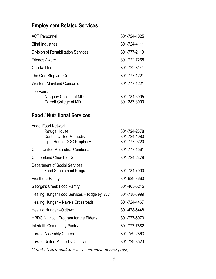## Employment Related Services

| <b>ACT Personnel</b>                       | 301-724-1025 |
|--------------------------------------------|--------------|
| <b>Blind Industries</b>                    | 301-724-4111 |
| <b>Division of Rehabilitation Services</b> | 301-777-2119 |
| <b>Friends Aware</b>                       | 301-722-7268 |
| <b>Goodwill Industries</b>                 | 301-722-8141 |
| The One-Stop Job Center                    | 301-777-1221 |
| <b>Western Maryland Consortium</b>         | 301-777-1221 |
| Job Fairs:                                 |              |
| Allegany College of MD                     | 301-784-5005 |
| Garrett College of MD                      | 301-387-3000 |

#### Food / Nutritional Services

| Angel Food Network<br>Refuge House<br><b>Central United Methodist</b><br><b>Light House COG Prophecy</b> | 301-724-2378<br>301-724-4080<br>301-777-9220 |
|----------------------------------------------------------------------------------------------------------|----------------------------------------------|
| <b>Christ United Methodist- Cumberland</b>                                                               | 301-777-1561                                 |
| <b>Cumberland Church of God</b>                                                                          | 301-724-2378                                 |
| <b>Department of Social Services</b><br><b>Food Supplement Program</b>                                   | 301-784-7000                                 |
| <b>Frostburg Pantry</b>                                                                                  | 301-689-3660                                 |
| George's Creek Food Pantry                                                                               | 301-463-5245                                 |
| Healing Hunger Food Services - Ridgeley, WV                                                              | 304-738-3999                                 |
| Healing Hunger - Nave's Crossroads                                                                       | 301-724-4467                                 |
| <b>Healing Hunger-Oldtown</b>                                                                            | 301-478-5448                                 |
| HRDC Nutrition Program for the Elderly                                                                   | 301-777-5970                                 |
| Interfaith Community Pantry                                                                              | 301-777-7882                                 |
| LaVale Assembly Church                                                                                   | 301-759-2863                                 |
| LaVale United Methodist Church                                                                           | 301-729-3523                                 |
|                                                                                                          |                                              |

*(Food / Nutritional Services continued on next page)*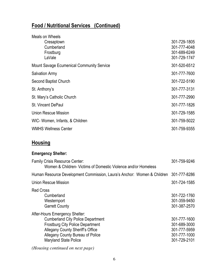# Food / Nutritional Services (Continued)

| 301-729-1805 |
|--------------|
| 301-777-4048 |
| 301-689-6249 |
| 301-729-1747 |
| 301-520-6512 |
| 301-777-7600 |
| 301-722-5190 |
| 301-777-3131 |
| 301-777-2990 |
| 301-777-1826 |
| 301-729-1585 |
| 301-759-5022 |
| 301-759-9355 |
|              |

## **Housing**

#### Emergency Shelter:

| <b>Family Crisis Resource Center:</b><br>Women & Children- Victims of Domestic Violence and/or Homeless                                                                                                                                     | 301-759-9246                                                                 |
|---------------------------------------------------------------------------------------------------------------------------------------------------------------------------------------------------------------------------------------------|------------------------------------------------------------------------------|
| Human Resource Development Commission, Laura's Anchor: Women & Children                                                                                                                                                                     | 301-777-8286                                                                 |
| Union Rescue Mission                                                                                                                                                                                                                        | 301-724-1585                                                                 |
| <b>Red Cross</b><br>Cumberland<br>Westernport<br><b>Garrett County</b>                                                                                                                                                                      | 301-722-1760<br>301-359-9450<br>301-387-2570                                 |
| After-Hours Emergency Shelter:<br><b>Cumberland City Police Department</b><br><b>Frostburg City Police Department</b><br><b>Allegany County Sheriff's Office</b><br><b>Allegany County Bureau of Police</b><br><b>Maryland State Police</b> | 301-777-1600<br>301-689-3000<br>301-777-5959<br>301-777-1000<br>301-729-2101 |
| (Housing continued on next page)                                                                                                                                                                                                            |                                                                              |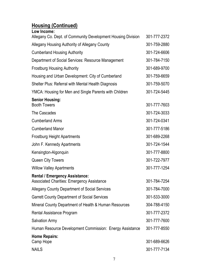# Housing (Continued)

| Low Income:                                                                         |              |
|-------------------------------------------------------------------------------------|--------------|
| Allegany Co. Dept. of Community Development Housing Division                        | 301-777-2372 |
| Allegany Housing Authority of Allegany County                                       | 301-759-2880 |
| <b>Cumberland Housing Authority</b>                                                 | 301-724-6606 |
| Department of Social Services: Resource Management                                  | 301-784-7150 |
| <b>Frostburg Housing Authority</b>                                                  | 301-689-9700 |
| Housing and Urban Development: City of Cumberland                                   | 301-759-6659 |
| Shelter Plus: Referral with Mental Health Diagnosis                                 | 301-759-5070 |
| YMCA: Housing for Men and Single Parents with Children                              | 301-724-5445 |
| <b>Senior Housing:</b><br><b>Booth Towers</b>                                       | 301-777-7603 |
| The Cascades                                                                        | 301-724-3033 |
| <b>Cumberland Arms</b>                                                              | 301-724-0341 |
| <b>Cumberland Manor</b>                                                             | 301-777-5186 |
| <b>Frostburg Height Apartments</b>                                                  | 301-689-2268 |
| John F. Kennedy Apartments                                                          | 301-724-1544 |
| Kensington-Algonquin                                                                | 301-777-8800 |
| <b>Queen City Towers</b>                                                            | 301-722-7977 |
| <b>Willow Valley Apartments</b>                                                     | 301-777-1254 |
| <b>Rental / Emergency Assistance:</b><br>Associated Charities: Emergency Assistance | 301-784-7254 |
| Allegany County Department of Social Services                                       | 301-784-7000 |
| <b>Garrett County Department of Social Services</b>                                 | 301-533-3000 |
| Mineral County Department of Health & Human Resources                               | 304-788-4150 |
| Rental Assistance Program                                                           | 301-777-2372 |
| <b>Salvation Army</b>                                                               | 301-777-7600 |
| Human Resource Development Commission: Energy Assistance                            | 301-777-8550 |
| <b>Home Repairs:</b><br>Camp Hope                                                   | 301-689-6626 |
| <b>NAILS</b>                                                                        | 301-777-7134 |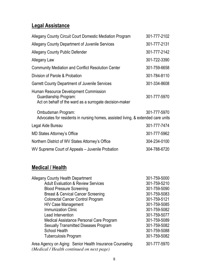## Legal Assistance

| <b>Allegany County Circuit Court Domestic Mediation Program</b>                                                           | 301-777-2102 |
|---------------------------------------------------------------------------------------------------------------------------|--------------|
| Allegany County Department of Juvenile Services                                                                           | 301-777-2131 |
| <b>Allegany County Public Defender</b>                                                                                    | 301-777-2142 |
| Allegany Law                                                                                                              | 301-722-3390 |
| <b>Community Mediation and Conflict Resolution Center</b>                                                                 | 301-759-6658 |
| Division of Parole & Probation                                                                                            | 301-784-8110 |
| <b>Garrett County Department of Juvenile Services</b>                                                                     | 301-334-8608 |
| Human Resource Development Commission<br>Guardianship Program:<br>Act on behalf of the ward as a surrogate decision-maker | 301-777-5970 |
| Ombudsman Program:<br>Advocates for residents in nursing homes, assisted living, & extended care units                    | 301-777-5970 |
| Legal Aide Bureau                                                                                                         | 301-777-7474 |
| <b>MD States Attorney's Office</b>                                                                                        | 301-777-5962 |
| Northern District of WV States Attorney's Office                                                                          | 304-234-0100 |
| WV Supreme Court of Appeals – Juvenile Probation                                                                          | 304-788-6720 |
|                                                                                                                           |              |

#### Medical / Health

| <b>Allegany County Health Department</b>                                                              | 301-759-5000 |
|-------------------------------------------------------------------------------------------------------|--------------|
| <b>Adult Evaluation &amp; Review Services</b>                                                         | 301-759-5210 |
| <b>Blood Pressure Screening</b>                                                                       | 301-759-5090 |
| <b>Breast &amp; Cervical Cancer Screening</b>                                                         | 301-759-5083 |
| <b>Colorectal Cancer Control Program</b>                                                              | 301-759-5121 |
| <b>HIV Case Management</b>                                                                            | 301-759-5085 |
| <b>Immunization Clinic</b>                                                                            | 301-759-5082 |
| Lead Intervention                                                                                     | 301-759-5077 |
| Medical Assistance Personal Care Program                                                              | 301-759-5089 |
| <b>Sexually Transmitted Diseases Program</b>                                                          | 301-759-5082 |
| <b>School Health</b>                                                                                  | 301-759-5088 |
| <b>Tuberculosis Program</b>                                                                           | 301-759-5082 |
| Area Agency on Aging: Senior Health Insurance Counseling<br>(Medical / Health continued on next page) | 301-777-5970 |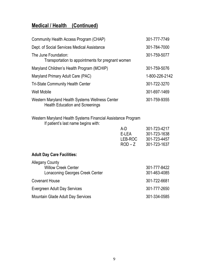#### Medical / Health (Continued)

| Community Health Access Program (CHAP)                                                    | 301-777-7749   |
|-------------------------------------------------------------------------------------------|----------------|
| Dept. of Social Services Medical Assistance                                               | 301-784-7000   |
| The June Foundation:<br>Transportation to appointments for pregnant women                 | 301-759-5077   |
| Maryland Children's Health Program (MCHIP)                                                | 301-759-5076   |
| Maryland Primary Adult Care (PAC)                                                         | 1-800-226-2142 |
| <b>Tri-State Community Health Center</b>                                                  | 301-722-3270   |
| <b>Well Mobile</b>                                                                        | 301-697-1469   |
| Western Maryland Health Systems Wellness Center<br><b>Health Education and Screenings</b> | 301-759-9355   |

Western Maryland Health Systems Financial Assistance Program If patient's last name begins with:

|                                                                                         | A-D<br>E-LEA<br>LEB-ROC<br>$ROD - Z$ | 301-723-4217<br>301-723-1638<br>301-723-4457<br>301-723-1637 |
|-----------------------------------------------------------------------------------------|--------------------------------------|--------------------------------------------------------------|
| <b>Adult Day Care Facilities:</b>                                                       |                                      |                                                              |
| <b>Allegany County</b><br><b>Willow Creek Center</b><br>Lonaconing Georges Creek Center |                                      | 301-777-8422<br>301-463-4085                                 |
| <b>Covenant House</b>                                                                   |                                      | 301-722-6681                                                 |
| Evergreen Adult Day Services                                                            |                                      | 301-777-2650                                                 |
| Mountain Glade Adult Day Services                                                       |                                      | 301-334-0585                                                 |
|                                                                                         |                                      |                                                              |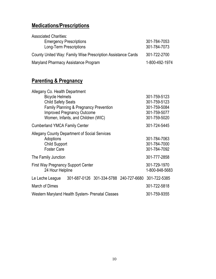## Medications/Prescriptions

| <b>Associated Charities:</b>                                 |                |
|--------------------------------------------------------------|----------------|
| <b>Emergency Prescriptions</b>                               | 301-784-7053   |
| Long-Term Prescriptions                                      | 301-784-7073   |
| County United Way: Family Wise Prescription Assistance Cards | 301-722-2700   |
| Maryland Pharmacy Assistance Program                         | 1-800-492-1974 |

## **Parenting & Pregnancy**

| Allegany Co. Health Department<br><b>Bicycle Helmets</b><br><b>Child Safety Seats</b>                    | Family Planning & Pregnancy Prevention<br><b>Improved Pregnancy Outcome</b><br>Women, Infants, and Children (WIC) |                                                     | 301-759-5123<br>301-759-5123<br>301-759-5084<br>301-759-5077<br>301-759-5020 |
|----------------------------------------------------------------------------------------------------------|-------------------------------------------------------------------------------------------------------------------|-----------------------------------------------------|------------------------------------------------------------------------------|
| <b>Cumberland YMCA Family Center</b>                                                                     |                                                                                                                   |                                                     | 301-724-5445                                                                 |
| Allegany County Department of Social Services<br>Adoptions<br><b>Child Support</b><br><b>Foster Care</b> |                                                                                                                   |                                                     | 301-784-7063<br>301-784-7000<br>301-784-7092                                 |
| The Family Junction                                                                                      |                                                                                                                   |                                                     | 301-777-2858                                                                 |
| <b>First Way Pregnancy Support Center</b><br>24 Hour Helpline                                            |                                                                                                                   |                                                     | 301-729-1970<br>1-800-848-5683                                               |
| Le Leche League                                                                                          |                                                                                                                   | 301-687-0126 301-334-5788 240-727-6680 301-722-5385 |                                                                              |
| March of Dimes                                                                                           |                                                                                                                   |                                                     | 301-722-5818                                                                 |
| Western Maryland Health System- Prenatal Classes                                                         |                                                                                                                   |                                                     | 301-759-9355                                                                 |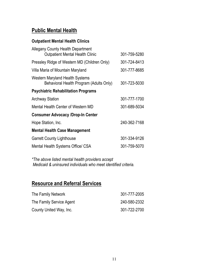#### Public Mental Health

#### Outpatient Mental Health Clinics

| <b>Allegany County Health Department</b><br><b>Outpatient Mental Health Clinic</b> | 301-759-5280 |
|------------------------------------------------------------------------------------|--------------|
| Pressley Ridge of Western MD (Children Only)                                       | 301-724-8413 |
| Villa Maria of Mountain Maryland                                                   | 301-777-8685 |
| Western Maryland Health Systems<br>Behavioral Health Program (Adults Only)         | 301-723-5030 |
| <b>Psychiatric Rehabilitation Programs</b>                                         |              |
| <b>Archway Station</b>                                                             | 301-777-1700 |
| Mental Health Center of Western MD                                                 | 301-689-5034 |
| <b>Consumer Advocacy /Drop-In Center</b>                                           |              |
| Hope Station, Inc.                                                                 | 240-362-7168 |
| <b>Mental Health Case Management</b>                                               |              |
| <b>Garrett County Lighthouse</b>                                                   | 301-334-9126 |
| Mental Health Systems Office/ CSA                                                  | 301-759-5070 |

\*The above listed mental health providers accept Medicaid & uninsured individuals who meet identified criteria.

#### Resource and Referral Services

| The Family Network       | 301-777-2005 |
|--------------------------|--------------|
| The Family Service Agent | 240-580-2332 |
| County United Way, Inc.  | 301-722-2700 |